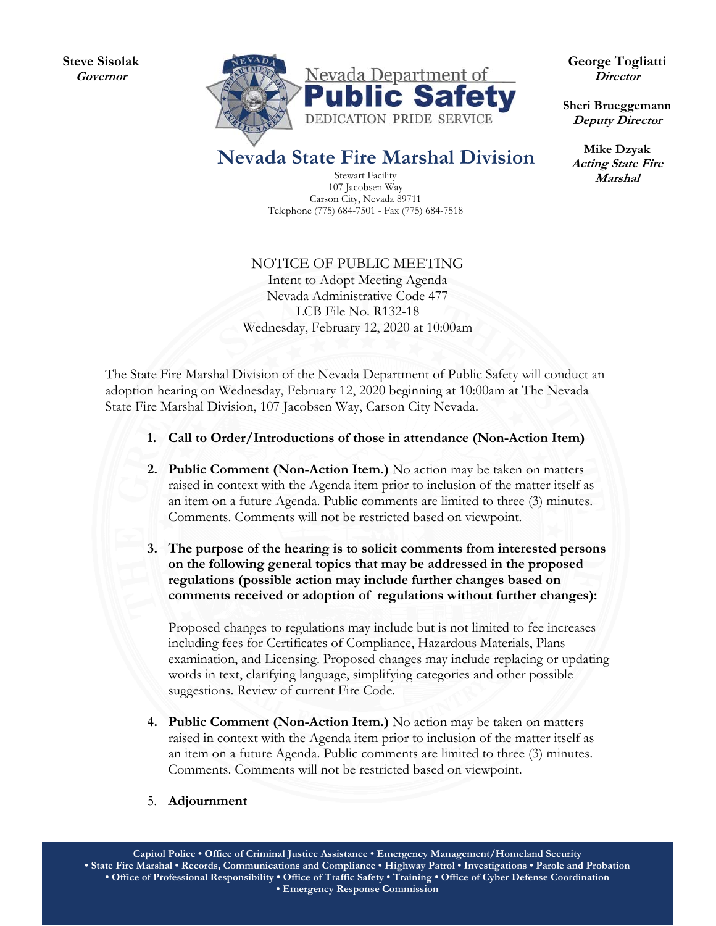**Steve Sisolak Governor** 



**George Togliatti Director** 

**Sheri Brueggemann Deputy Director** 

**Mike Dzyak Acting State Fire Marshal** 

## **Nevada State Fire Marshal Division**

Stewart Facility 107 Jacobsen Way Carson City, Nevada 89711 Telephone (775) 684-7501 - Fax (775) 684-7518

NOTICE OF PUBLIC MEETING Intent to Adopt Meeting Agenda Nevada Administrative Code 477 LCB File No. R132-18 Wednesday, February 12, 2020 at 10:00am

The State Fire Marshal Division of the Nevada Department of Public Safety will conduct an adoption hearing on Wednesday, February 12, 2020 beginning at 10:00am at The Nevada State Fire Marshal Division, 107 Jacobsen Way, Carson City Nevada.

- **1. Call to Order/Introductions of those in attendance (Non-Action Item)**
- **2. Public Comment (Non-Action Item.)** No action may be taken on matters raised in context with the Agenda item prior to inclusion of the matter itself as an item on a future Agenda. Public comments are limited to three (3) minutes. Comments. Comments will not be restricted based on viewpoint.
- **3. The purpose of the hearing is to solicit comments from interested persons on the following general topics that may be addressed in the proposed regulations (possible action may include further changes based on comments received or adoption of regulations without further changes):**

Proposed changes to regulations may include but is not limited to fee increases including fees for Certificates of Compliance, Hazardous Materials, Plans examination, and Licensing. Proposed changes may include replacing or updating words in text, clarifying language, simplifying categories and other possible suggestions. Review of current Fire Code.

- **4. Public Comment (Non-Action Item.)** No action may be taken on matters raised in context with the Agenda item prior to inclusion of the matter itself as an item on a future Agenda. Public comments are limited to three (3) minutes. Comments. Comments will not be restricted based on viewpoint.
- 5. **Adjournment**

**Capitol Police • Office of Criminal Justice Assistance • Emergency Management/Homeland Security • State Fire Marshal • Records, Communications and Compliance • Highway Patrol • Investigations • Parole and Probation • Office of Professional Responsibility • Office of Traffic Safety • Training • Office of Cyber Defense Coordination • Emergency Response Commission**